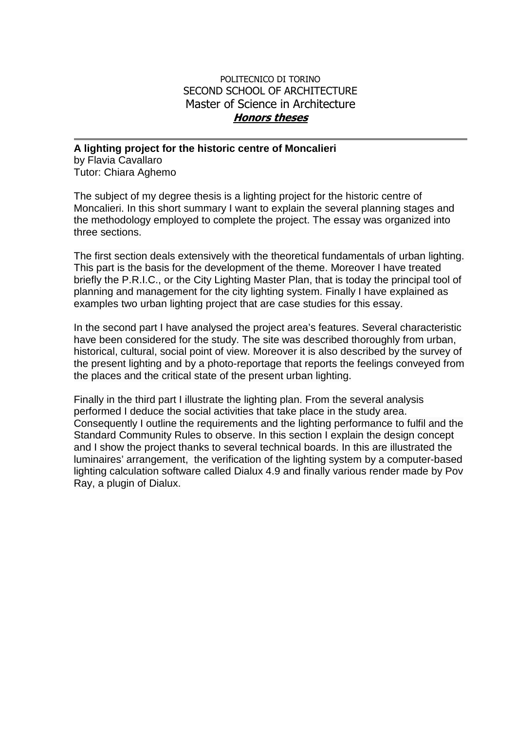## POLITECNICO DI TORINO SECOND SCHOOL OF ARCHITECTURE Master of Science in Architecture **Honors theses**

## **A lighting project for the historic centre of Moncalieri**

by Flavia Cavallaro Tutor: Chiara Aghemo

The subject of my degree thesis is a lighting project for the historic centre of Moncalieri. In this short summary I want to explain the several planning stages and the methodology employed to complete the project. The essay was organized into three sections.

The first section deals extensively with the theoretical fundamentals of urban lighting. This part is the basis for the development of the theme. Moreover I have treated briefly the P.R.I.C., or the City Lighting Master Plan, that is today the principal tool of planning and management for the city lighting system. Finally I have explained as examples two urban lighting project that are case studies for this essay.

In the second part I have analysed the project area's features. Several characteristic have been considered for the study. The site was described thoroughly from urban, historical, cultural, social point of view. Moreover it is also described by the survey of the present lighting and by a photo-reportage that reports the feelings conveyed from the places and the critical state of the present urban lighting.

Finally in the third part I illustrate the lighting plan. From the several analysis performed I deduce the social activities that take place in the study area. Consequently I outline the requirements and the lighting performance to fulfil and the Standard Community Rules to observe. In this section I explain the design concept and I show the project thanks to several technical boards. In this are illustrated the luminaires' arrangement, the verification of the lighting system by a computer-based lighting calculation software called Dialux 4.9 and finally various render made by Pov Ray, a plugin of Dialux.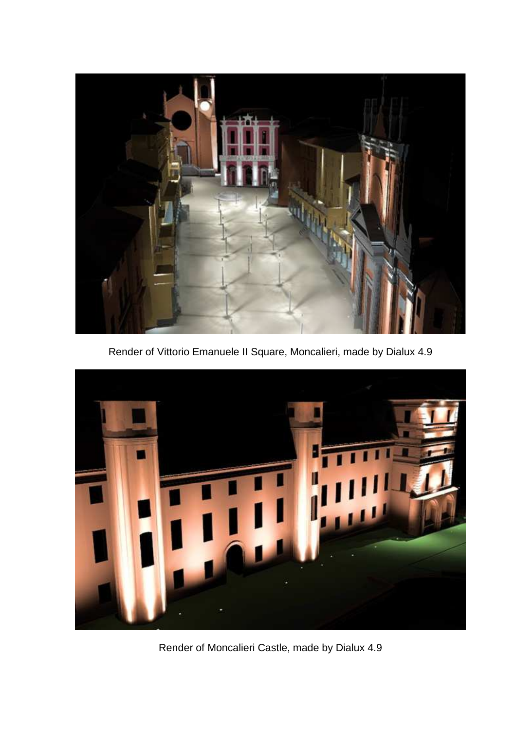

Render of Vittorio Emanuele II Square, Moncalieri, made by Dialux 4.9



Render of Moncalieri Castle, made by Dialux 4.9